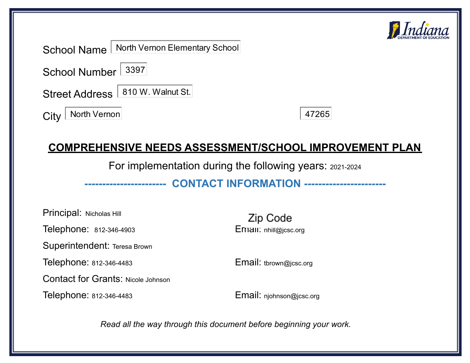

School Name North Vernon Elementary School

School Number 3397

Street Address | 810 W. Walnut St.

City | North Vernon

47265

## **COMPREHENSIVE NEEDS ASSESSMENT/SCHOOL IMPROVEMENT PLAN**

For implementation during the following years: 2021-2024

**----------------------- CONTACT INFORMATION -----------------------**

Principal: Nicholas Hill Telephone: 812-346-4903 **Email:** nhill@jcsc.org Superintendent: Teresa Brown Telephone: 812-346-4483 Email: tbrown@jcsc.org Contact for Grants: Nicole Johnson

Telephone: 812-346-4483 Email: njohnson@jcsc.org

Zip Code

*Read all the way through this document before beginning your work.*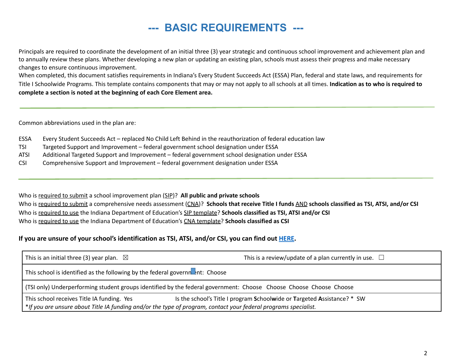## **--- BASIC REQUIREMENTS ---**

Principals are required to coordinate the development of an initial three (3) year strategic and continuous school improvement and achievement plan and to annually review these plans. Whether developing a new plan or updating an existing plan, schools must assess their progress and make necessary changes to ensure continuous improvement.

When completed, this document satisfies requirements in Indiana's Every Student Succeeds Act (ESSA) Plan, federal and state laws, and requirements for Title I Schoolwide Programs. This template contains components that may or may not apply to all schools at all times. **Indication as to who is required to complete a section is noted at the beginning of each Core Element area.**

Common abbreviations used in the plan are:

- ESSA Every Student Succeeds Act replaced No Child Left Behind in the reauthorization of federal education law
- TSI Targeted Support and Improvement federal government school designation under ESSA
- ATSI Additional Targeted Support and Improvement federal government school designation under ESSA
- CSI Comprehensive Support and Improvement federal government designation under ESSA

Who is required to submit a school improvement plan (SIP)? **All public and private schools** Who is required to submit a comprehensive needs assessment (CNA)? Schools that receive Title I funds AND schools classified as TSI, ATSI, and/or CSI Who is required to use the Indiana Department of Education's SIP template? **Schools classified as TSI, ATSI and/or CSI** Who is required to use the Indiana Department of Education's CNA template? **Schools classified as CSI**

#### **If you are unsure of your school's identification as TSI, ATSI, and/or CSI, you can find out [HERE](https://www.doe.in.gov/sig).**

| This is an initial three (3) year plan. $\boxtimes$                                                                                                           | This is a review/update of a plan currently in use. $\Box$                                                         |
|---------------------------------------------------------------------------------------------------------------------------------------------------------------|--------------------------------------------------------------------------------------------------------------------|
| This school is identified as the following by the federal governneent: Choose                                                                                 |                                                                                                                    |
|                                                                                                                                                               | (TSI only) Underperforming student groups identified by the federal government: Choose Choose Choose Choose Choose |
| This school receives Title IA funding. Yes<br>*If you are unsure about Title IA funding and/or the type of program, contact your federal programs specialist. | Is the school's Title I program Schoolwide or Targeted Assistance? * SW                                            |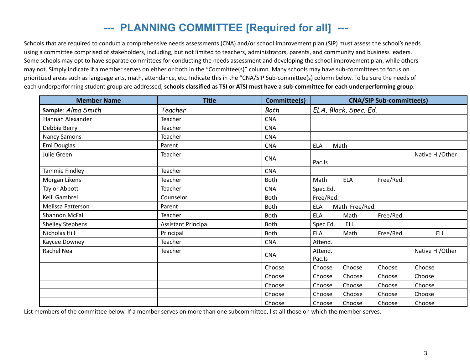# **--- PLANNING COMMITTEE [Required for all] ---**

Schools that are required to conduct a comprehensive needs assessments (CNA) and/or school improvement plan (SIP) must assess the school's needs using a committee comprised of stakeholders, including, but not limited to teachers, administrators, parents, and community and business leaders. Some schools may opt to have separate committees for conducting the needs assessment and developing the school improvement plan, while others may not. Simply indicate if a member serves on either or both in the "Committee(s)" column. Many schools may have sub-committees to focus on prioritized areas such as language arts, math, attendance, etc. Indicate this in the "CNA/SIP Sub-committee(s) column below. To be sure the needs of each underperforming student group are addressed, schools classified as TSI or ATSI must have a sub-committee for each underperforming group.

| <b>Member Name</b>      | <b>Title</b>              | Committee(s) | <b>CNA/SIP Sub-committee(s)</b>               |
|-------------------------|---------------------------|--------------|-----------------------------------------------|
| Sample: Alma Smith      | Teacher                   | Both         | ELA, Black, Spec. Ed.                         |
| Hannah Alexander        | Teacher                   | <b>CNA</b>   |                                               |
| Debbie Berry            | Teacher                   | <b>CNA</b>   |                                               |
| <b>Nancy Samons</b>     | Teacher                   | <b>CNA</b>   |                                               |
| Emi Douglas             | Parent                    | <b>CNA</b>   | Math<br><b>ELA</b>                            |
| Julie Green             | Teacher                   | <b>CNA</b>   | Native HI/Other<br>Pac.Is                     |
| Tammie Findley          | Teacher                   | <b>CNA</b>   |                                               |
| Morgan Likens           | Teacher                   | Both         | <b>ELA</b><br>Free/Red.<br>Math               |
| <b>Taylor Abbott</b>    | Teacher                   | <b>CNA</b>   | Spec.Ed.                                      |
| Kelli Gambrel           | Counselor                 | <b>Both</b>  | Free/Red.                                     |
| Melissa Patterson       | Parent                    | <b>Both</b>  | Math Free/Red.<br><b>ELA</b>                  |
| <b>Shannon McFall</b>   | Teacher                   | <b>Both</b>  | Free/Red.<br><b>ELA</b><br>Math               |
| <b>Shelley Stephens</b> | <b>Assistant Principa</b> | <b>Both</b>  | Spec.Ed.<br><b>ELL</b>                        |
| Nicholas Hill           | Principal                 | Both         | <b>ELA</b><br>Free/Red.<br><b>ELL</b><br>Math |
| Kaycee Downey           | Teacher                   | <b>CNA</b>   | Attend.                                       |
| <b>Rachel Neal</b>      | Teacher                   | <b>CNA</b>   | Native HI/Other<br>Attend.<br>Pac.Is          |
|                         |                           | Choose       | Choose<br>Choose<br>Choose<br>Choose          |
|                         |                           | Choose       | Choose<br>Choose<br>Choose<br>Choose          |
|                         |                           | Choose       | Choose<br>Choose<br>Choose<br>Choose          |
|                         |                           | Choose       | Choose<br>Choose<br>Choose<br>Choose          |
|                         |                           | Choose       | Choose<br>Choose<br>Choose<br>Choose          |

List members of the committee below. If a member serves on more than one subcommittee, list all those on which the member serves.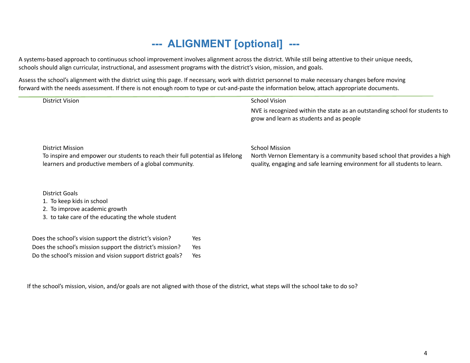# **--- ALIGNMENT [optional] ---**

A systems-based approach to continuous school improvement involves alignment across the district. While still being attentive to their unique needs, schools should align curricular, instructional, and assessment programs with the district's vision, mission, and goals.

Assess the school's alignment with the district using this page. If necessary, work with district personnel to make necessary changes before moving forward with the needs assessment. If there is not enough room to type or cut-and-paste the information below, attach appropriate documents.

| <b>District Vision</b>                                                                                                                  |     | <b>School Vision</b>                                                                                                                                   |
|-----------------------------------------------------------------------------------------------------------------------------------------|-----|--------------------------------------------------------------------------------------------------------------------------------------------------------|
|                                                                                                                                         |     | NVE is recognized within the state as an outstanding school for students to<br>grow and learn as students and as people                                |
| <b>District Mission</b>                                                                                                                 |     | <b>School Mission</b>                                                                                                                                  |
| To inspire and empower our students to reach their full potential as lifelong<br>learners and productive members of a global community. |     | North Vernon Elementary is a community based school that provides a high<br>quality, engaging and safe learning environment for all students to learn. |
| <b>District Goals</b>                                                                                                                   |     |                                                                                                                                                        |
| 1. To keep kids in school                                                                                                               |     |                                                                                                                                                        |
| 2. To improve academic growth                                                                                                           |     |                                                                                                                                                        |
| 3. to take care of the educating the whole student                                                                                      |     |                                                                                                                                                        |
| Does the school's vision support the district's vision?                                                                                 | Yes |                                                                                                                                                        |
| Does the school's mission support the district's mission?                                                                               | Yes |                                                                                                                                                        |

Do the school's mission and vision support district goals? Yes

If the school's mission, vision, and/or goals are not aligned with those of the district, what steps will the school take to do so?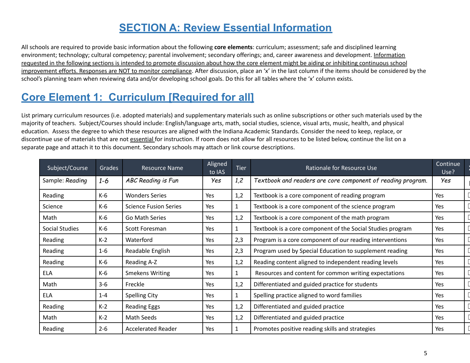## **SECTION A: Review Essential Information**

All schools are required to provide basic information about the following **core elements**: curriculum; assessment; safe and disciplined learning environment; technology; cultural competency; parental involvement; secondary offerings; and, career awareness and development. Information requested in the following sections is intended to promote discussion about how the core element might be aiding or inhibiting continuous school improvement efforts. Responses are NOT to monitor compliance. After discussion, place an 'x' in the last column if the items should be considered by the school's planning team when reviewing data and/or developing school goals. Do this for all tables where the 'x' column exists.

# **Core Element 1: Curriculum [Required for all]**

List primary curriculum resources (i.e. adopted materials) and supplementary materials such as online subscriptions or other such materials used by the majority of teachers. Subject/Courses should include: English/language arts, math, social studies, science, visual arts, music, health, and physical education. Assess the degree to which these resources are aligned with the Indiana Academic Standards. Consider the need to keep, replace, or discontinue use of materials that are not essential for instruction. If room does not allow for all resources to be listed below, continue the list on a separate page and attach it to this document. Secondary schools may attach or link course descriptions.

| Subject/Course  | Grades  | Resource Name                | Aligned<br>to IAS | <b>Tier</b>  | Rationale for Resource Use                                  | Continue<br>Use? |  |
|-----------------|---------|------------------------------|-------------------|--------------|-------------------------------------------------------------|------------------|--|
| Sample: Reading | $1 - 6$ | ABC Reading is Fun           | Yes               | 1,2          | Textbook and readers are core component of reading program. | Yes              |  |
| Reading         | $K-6$   | <b>Wonders Series</b>        | Yes               | 1,2          | Textbook is a core component of reading program             | Yes              |  |
| Science         | K-6     | <b>Science Fusion Series</b> | Yes               | $\mathbf{1}$ | Textbook is a core component of the science program         | Yes              |  |
| Math            | K-6     | Go Math Series               | Yes               | 1,2          | Textbook is a core component of the math program            | Yes              |  |
| Social Studies  | K-6     | Scott Foresman               | Yes               | $\mathbf{1}$ | Textbook is a core component of the Social Studies program  | Yes              |  |
| Reading         | $K-2$   | Waterford                    | Yes               | 2,3          | Program is a core component of our reading interventions    | <b>Yes</b>       |  |
| Reading         | $1 - 6$ | Readable English             | Yes               | 2,3          | Program used by Special Education to supplement reading     | Yes              |  |
| Reading         | K-6     | Reading A-Z                  | Yes               | 1,2          | Reading content aligned to independent reading levels       | Yes              |  |
| <b>ELA</b>      | K-6     | <b>Smekens Writing</b>       | Yes               | $\mathbf{1}$ | Resources and content for common writing expectations       | Yes              |  |
| Math            | $3 - 6$ | Freckle                      | Yes               | 1,2          | Differentiated and guided practice for students             | Yes              |  |
| <b>ELA</b>      | $1 - 4$ | <b>Spelling City</b>         | Yes               | $\mathbf{1}$ | Spelling practice aligned to word families                  | Yes              |  |
| Reading         | $K-2$   | <b>Reading Eggs</b>          | Yes               | 1,2          | Differentiated and guided practice                          | Yes              |  |
| Math            | $K-2$   | Math Seeds                   | Yes               | 1,2          | Differentiated and guided practice                          | Yes              |  |
| Reading         | $2 - 6$ | <b>Accelerated Reader</b>    | Yes               | $\mathbf{1}$ | Promotes positive reading skills and strategies             | Yes              |  |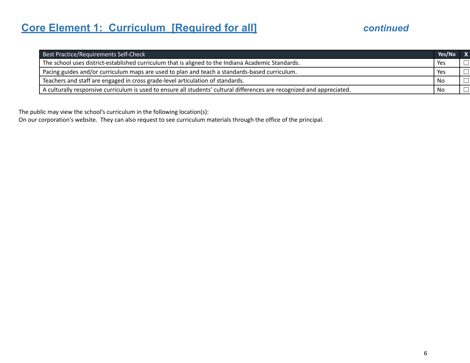# **Core Element 1: Curriculum [Required for all]** *continued*

| Best Practice/Requirements Self-Check                                                                                   | Yes/No | IV. |
|-------------------------------------------------------------------------------------------------------------------------|--------|-----|
| The school uses district-established curriculum that is aligned to the Indiana Academic Standards.                      | Yes    |     |
| Pacing guides and/or curriculum maps are used to plan and teach a standards-based curriculum.                           | Yes    |     |
| Teachers and staff are engaged in cross grade-level articulation of standards.                                          | No     |     |
| A culturally responsive curriculum is used to ensure all students' cultural differences are recognized and appreciated. | No     |     |

The public may view the school's curriculum in the following location(s):

On our corporation's website. They can also request to see curriculum materials through the office of the principal.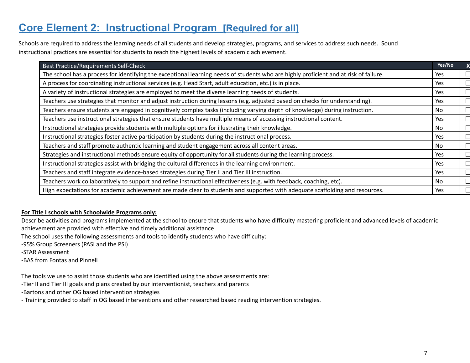## **Core Element 2: Instructional Program [Required for all]**

Schools are required to address the learning needs of all students and develop strategies, programs, and services to address such needs. Sound instructional practices are essential for students to reach the highest levels of academic achievement.

| Best Practice/Requirements Self-Check                                                                                                 | Yes/No |  |
|---------------------------------------------------------------------------------------------------------------------------------------|--------|--|
| The school has a process for identifying the exceptional learning needs of students who are highly proficient and at risk of failure. | Yes    |  |
| A process for coordinating instructional services (e.g. Head Start, adult education, etc.) is in place.                               | Yes    |  |
| A variety of instructional strategies are employed to meet the diverse learning needs of students.                                    | Yes    |  |
| Teachers use strategies that monitor and adjust instruction during lessons (e.g. adjusted based on checks for understanding).         | Yes    |  |
| Teachers ensure students are engaged in cognitively complex tasks (including varying depth of knowledge) during instruction.          | No     |  |
| Teachers use instructional strategies that ensure students have multiple means of accessing instructional content.                    | Yes    |  |
| Instructional strategies provide students with multiple options for illustrating their knowledge.                                     | No     |  |
| Instructional strategies foster active participation by students during the instructional process.                                    | Yes    |  |
| Teachers and staff promote authentic learning and student engagement across all content areas.                                        | No     |  |
| Strategies and instructional methods ensure equity of opportunity for all students during the learning process.                       | Yes    |  |
| Instructional strategies assist with bridging the cultural differences in the learning environment.                                   | Yes    |  |
| Teachers and staff integrate evidence-based strategies during Tier II and Tier III instruction.                                       | Yes    |  |
| Teachers work collaboratively to support and refine instructional effectiveness (e.g. with feedback, coaching, etc).                  | No.    |  |
| High expectations for academic achievement are made clear to students and supported with adequate scaffolding and resources.          | Yes    |  |

#### **For Title I schools with Schoolwide Programs only:**

Describe activities and programs implemented at the school to ensure that students who have difficulty mastering proficient and advanced levels of academic achievement are provided with effective and timely additional assistance

The school uses the following assessments and tools to identify students who have difficulty:

-95% Group Screeners (PASI and the PSI)

-STAR Assessment

-BAS from Fontas and Pinnell

The tools we use to assist those students who are identified using the above assessments are:

-Tier II and Tier III goals and plans created by our interventionist, teachers and parents

-Bartons and other OG based intervention strategies

- Training provided to staff in OG based interventions and other researched based reading intervention strategies.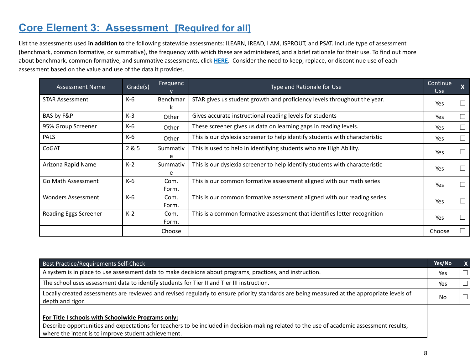## **Core Element 3: Assessment [Required for all]**

List the assessments used **in addition to** the following statewide assessments: ILEARN, IREAD, I AM, ISPROUT, and PSAT. Include type of assessment (benchmark, common formative, or summative), the frequency with which these are administered, and a brief rationale for their use. To find out more about benchmark, common formative, and summative assessments, click **HERE**. Consider the need to keep, replace, or discontinue use of each assessment based on the value and use of the data it provides.

| <b>Assessment Name</b>                     | Grade(s) | Frequenc      | Type and Rationale for Use                                                  | Continue<br><b>Use</b> | $\boldsymbol{X}$ |
|--------------------------------------------|----------|---------------|-----------------------------------------------------------------------------|------------------------|------------------|
| <b>STAR Assessment</b>                     | K-6      | Benchmar<br>к | STAR gives us student growth and proficiency levels throughout the year.    | <b>Yes</b>             | $\Box$           |
| BAS by F&P                                 | $K-3$    | Other         | Gives accurate instructional reading levels for students                    | <b>Yes</b>             | $\Box$           |
| 95% Group Screener                         | K-6      | Other         | These screener gives us data on learning gaps in reading levels.            | Yes                    | $\Box$           |
| <b>PALS</b>                                | K-6      | Other         | This is our dyslexia screener to help identify students with characteristic | <b>Yes</b>             | $\Box$           |
| CoGAT                                      | 2 & 5    | Summativ<br>e | This is used to help in identifying students who are High Ability.          | Yes                    | $\Box$           |
| Arizona Rapid Name                         | $K-2$    | Summativ<br>e | This is our dyslexia screener to help identify students with characteristic | Yes                    | $\Box$           |
| K-6<br>Go Math Assessment<br>Com.<br>Form. |          |               | This is our common formative assessment aligned with our math series        | <b>Yes</b>             | $\Box$           |
| <b>Wonders Assessment</b>                  | K-6      | Com.<br>Form. | This is our common formative assessment aligned with our reading series     | <b>Yes</b>             | $\Box$           |
| <b>Reading Eggs Screener</b>               | $K-2$    | Com.<br>Form. | This is a common formative assessment that identifies letter recognition    | <b>Yes</b>             | $\Box$           |
|                                            |          | Choose        |                                                                             | Choose                 | $\Box$           |

| Best Practice/Requirements Self-Check                                                                                                                                                                                                                  | Yes/No | $\mathbf{x}$ |
|--------------------------------------------------------------------------------------------------------------------------------------------------------------------------------------------------------------------------------------------------------|--------|--------------|
| A system is in place to use assessment data to make decisions about programs, practices, and instruction.                                                                                                                                              | Yes    |              |
| The school uses assessment data to identify students for Tier II and Tier III instruction.                                                                                                                                                             | Yes    |              |
| Locally created assessments are reviewed and revised regularly to ensure priority standards are being measured at the appropriate levels of<br>depth and rigor.                                                                                        | No     |              |
| For Title I schools with Schoolwide Programs only:<br>Describe opportunities and expectations for teachers to be included in decision-making related to the use of academic assessment results,<br>where the intent is to improve student achievement. |        |              |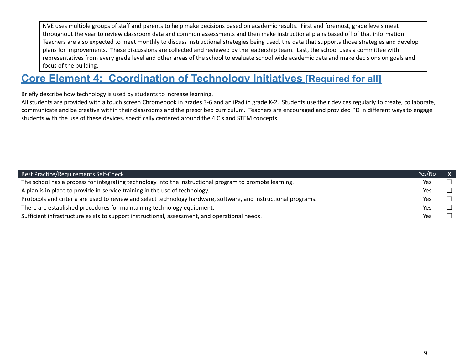NVE uses multiple groups of staff and parents to help make decisions based on academic results. First and foremost, grade levels meet throughout the year to review classroom data and common assessments and then make instructional plans based off of that information. Teachers are also expected to meet monthly to discuss instructional strategies being used, the data that supports those strategies and develop plans for improvements. These discussions are collected and reviewed by the leadership team. Last, the school uses a committee with representatives from every grade level and other areas of the school to evaluate school wide academic data and make decisions on goals and focus of the building.

### **Core Element 4: Coordination of Technology Initiatives [Required for all]**

Briefly describe how technology is used by students to increase learning.

All students are provided with a touch screen Chromebook in grades 3-6 and an iPad in grade K-2. Students use their devices regularly to create, collaborate, communicate and be creative within their classrooms and the prescribed curriculum. Teachers are encouraged and provided PD in different ways to engage students with the use of these devices, specifically centered around the 4 C's and STEM concepts.

| Best Practice/Requirements Self-Check                                                                           | Yes/No | $\mathbf{x}$ |
|-----------------------------------------------------------------------------------------------------------------|--------|--------------|
| The school has a process for integrating technology into the instructional program to promote learning.         | Yes    |              |
| A plan is in place to provide in-service training in the use of technology.                                     | Yes    |              |
| Protocols and criteria are used to review and select technology hardware, software, and instructional programs. | Yes    |              |
| There are established procedures for maintaining technology equipment.                                          | Yes    |              |
| Sufficient infrastructure exists to support instructional, assessment, and operational needs.                   | Yes    |              |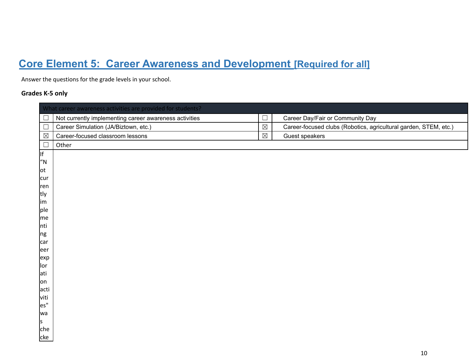# **Core Element 5: Career Awareness and Development [Required for all]**

Answer the questions for the grade levels in your school.

#### **Grades K-5 only**

| Career-focused clubs (Robotics, agricultural garden, STEM, etc.) |
|------------------------------------------------------------------|
|                                                                  |
|                                                                  |
|                                                                  |
|                                                                  |
|                                                                  |
|                                                                  |
|                                                                  |
|                                                                  |
|                                                                  |
|                                                                  |
|                                                                  |
|                                                                  |
|                                                                  |
|                                                                  |
|                                                                  |
|                                                                  |
|                                                                  |
|                                                                  |
|                                                                  |
|                                                                  |
|                                                                  |
|                                                                  |
|                                                                  |
|                                                                  |
|                                                                  |
|                                                                  |
|                                                                  |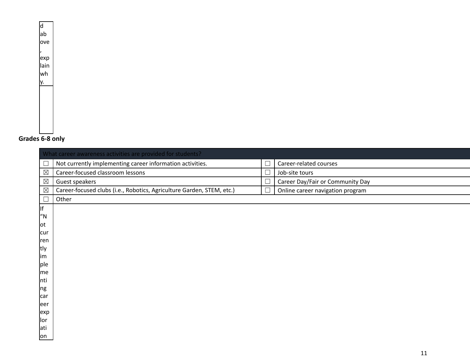d ab ove , exp lain wh y.

#### **Grades 6-8 only**

|             | What career awareness activities are provided for students?           |        |                                  |  |  |  |  |
|-------------|-----------------------------------------------------------------------|--------|----------------------------------|--|--|--|--|
|             | Not currently implementing career information activities.             |        | Career-related courses           |  |  |  |  |
| $\boxtimes$ | Career-focused classroom lessons                                      | Г      | Job-site tours                   |  |  |  |  |
| $\boxtimes$ | Guest speakers                                                        | $\Box$ | Career Day/Fair or Community Day |  |  |  |  |
| $\boxtimes$ | Career-focused clubs (i.e., Robotics, Agriculture Garden, STEM, etc.) | $\Box$ | Online career navigation program |  |  |  |  |
| $\Box$      | Other                                                                 |        |                                  |  |  |  |  |
| lf          |                                                                       |        |                                  |  |  |  |  |
| "N          |                                                                       |        |                                  |  |  |  |  |
| lot         |                                                                       |        |                                  |  |  |  |  |
| cur         |                                                                       |        |                                  |  |  |  |  |
| ren<br>tly  |                                                                       |        |                                  |  |  |  |  |
| lim         |                                                                       |        |                                  |  |  |  |  |
| ple         |                                                                       |        |                                  |  |  |  |  |
| me          |                                                                       |        |                                  |  |  |  |  |
| Inti        |                                                                       |        |                                  |  |  |  |  |
| ng          |                                                                       |        |                                  |  |  |  |  |
| car         |                                                                       |        |                                  |  |  |  |  |
| eer         |                                                                       |        |                                  |  |  |  |  |
| exp         |                                                                       |        |                                  |  |  |  |  |
| llor<br>ati |                                                                       |        |                                  |  |  |  |  |
| on          |                                                                       |        |                                  |  |  |  |  |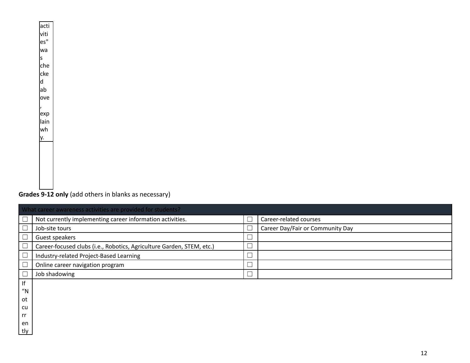#### acti viti es" wa s che cke d ab ove , exp lain wh y.

#### **Grades 9-12 only** (add others in blanks as necessary)

|           | What career awareness activities are provided for students?           |        |                                  |  |  |
|-----------|-----------------------------------------------------------------------|--------|----------------------------------|--|--|
|           | Not currently implementing career information activities.             |        | Career-related courses           |  |  |
|           | Job-site tours                                                        |        | Career Day/Fair or Community Day |  |  |
|           | Guest speakers                                                        | $\Box$ |                                  |  |  |
|           | Career-focused clubs (i.e., Robotics, Agriculture Garden, STEM, etc.) | $\Box$ |                                  |  |  |
|           | Industry-related Project-Based Learning                               | $\Box$ |                                  |  |  |
|           | Online career navigation program                                      | $\Box$ |                                  |  |  |
|           | Job shadowing                                                         | $\Box$ |                                  |  |  |
| If        |                                                                       |        |                                  |  |  |
| ''N       |                                                                       |        |                                  |  |  |
| ot        |                                                                       |        |                                  |  |  |
| cu        |                                                                       |        |                                  |  |  |
| rr        |                                                                       |        |                                  |  |  |
| en<br>tly |                                                                       |        |                                  |  |  |
|           |                                                                       |        |                                  |  |  |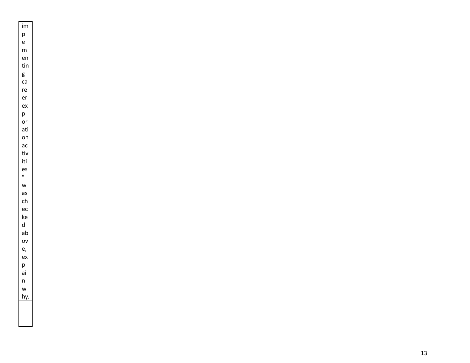$\frac{1}{p}$  $\mathsf{e}% _{0}\left( \mathsf{e}\right)$ ementing<br>tingcare<br>care  $m$ en tin  ${\sf g}$  $ca$ re er ex<br>pl or ati on<br>ac<br>tiv iti es " was checkedabove,  $\mathsf{w}$  $\mathsf{as}$  $ch$  $\rm ec$  $\mathsf{ke}$  $\operatorname{\mathsf{d}}$  $ab$  $\mathsf{ov}% _{T}^{(t)}:=\mathsf{cov}_{T}\left( \mathsf{C}\right)$ e, ex<br>pl ai n<br>w<br>hy.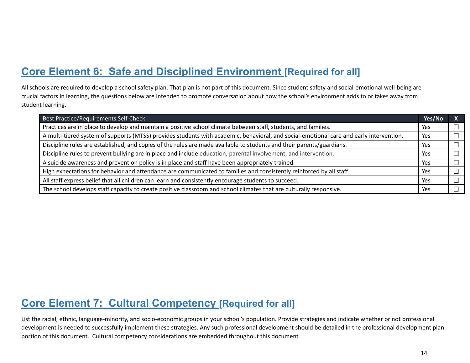## **Core Element 6: Safe and Disciplined Environment [Required for all]**

All schools are required to develop a school safety plan. That plan is not part of this document. Since student safety and social-emotional well-being are crucial factors in learning, the questions below are intended to promote conversation about how the school's environment adds to or takes away from student learning.

| Best Practice/Requirements Self-Check                                                                                                   | Yes/No | $\overline{\mathbf{X}}$ |
|-----------------------------------------------------------------------------------------------------------------------------------------|--------|-------------------------|
| Practices are in place to develop and maintain a positive school climate between staff, students, and families.                         | Yes    |                         |
| A multi-tiered system of supports (MTSS) provides students with academic, behavioral, and social-emotional care and early intervention. | Yes    |                         |
| Discipline rules are established, and copies of the rules are made available to students and their parents/guardians.                   | Yes    |                         |
| Discipline rules to prevent bullying are in place and include education, parental involvement, and intervention.                        | Yes    |                         |
| A suicide awareness and prevention policy is in place and staff have been appropriately trained.                                        | Yes    |                         |
| High expectations for behavior and attendance are communicated to families and consistently reinforced by all staff.                    | Yes    |                         |
| All staff express belief that all children can learn and consistently encourage students to succeed.                                    | Yes    |                         |
| The school develops staff capacity to create positive classroom and school climates that are culturally responsive.                     | Yes    |                         |

#### **Core Element 7: Cultural Competency [Required for all]**

List the racial, ethnic, language-minority, and socio-economic groups in your school's population. Provide strategies and indicate whether or not professional development is needed to successfully implement these strategies. Any such professional development should be detailed in the professional development plan portion of this document. Cultural competency considerations are embedded throughout this document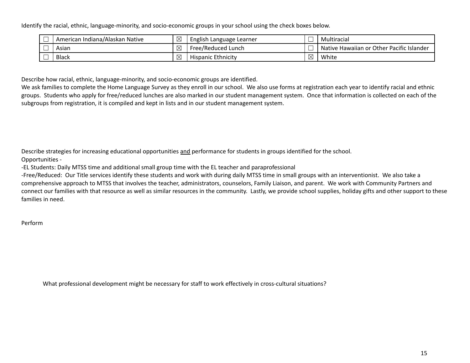Identify the racial, ethnic, language-minority, and socio-economic groups in your school using the check boxes below.

| American Indiana/Alaskan Native | $\boxtimes$ | English Language Learner  |                                     | Multiracial                               |
|---------------------------------|-------------|---------------------------|-------------------------------------|-------------------------------------------|
| Asian                           | $\boxtimes$ | Free/Reduced Lunch        |                                     | Native Hawaiian or Other Pacific Islander |
| <b>Black</b>                    | $\times$    | <b>Hispanic Ethnicity</b> | J<br>IX<br>$\overline{\phantom{0}}$ | White                                     |

Describe how racial, ethnic, language-minority, and socio-economic groups are identified.

We ask families to complete the Home Language Survey as they enroll in our school. We also use forms at registration each year to identify racial and ethnic groups. Students who apply for free/reduced lunches are also marked in our student management system. Once that information is collected on each of the subgroups from registration, it is compiled and kept in lists and in our student management system.

Describe strategies for increasing educational opportunities and performance for students in groups identified for the school.

Opportunities -

-EL Students: Daily MTSS time and additional small group time with the EL teacher and paraprofessional

-Free/Reduced: Our Title services identify these students and work with during daily MTSS time in small groups with an interventionist. We also take a comprehensive approach to MTSS that involves the teacher, administrators, counselors, Family Liaison, and parent. We work with Community Partners and connect our families with that resource as well as similar resources in the community. Lastly, we provide school supplies, holiday gifts and other support to these families in need.

Perform

What professional development might be necessary for staff to work effectively in cross-cultural situations?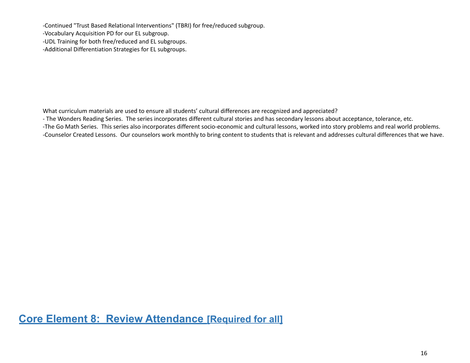-Continued "Trust Based Relational Interventions" (TBRI) for free/reduced subgroup.

-Vocabulary Acquisition PD for our EL subgroup.

-UDL Training for both free/reduced and EL subgroups.

-Additional Differentiation Strategies for EL subgroups.

What curriculum materials are used to ensure all students' cultural differences are recognized and appreciated?

- The Wonders Reading Series. The series incorporates different cultural stories and has secondary lessons about acceptance, tolerance, etc.

-The Go Math Series. This series also incorporates different socio-economic and cultural lessons, worked into story problems and real world problems.

-Counselor Created Lessons. Our counselors work monthly to bring content to students that is relevant and addresses cultural differences that we have.

**Core Element 8: Review Attendance [Required for all]**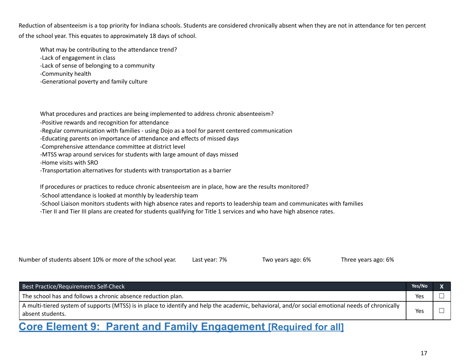Reduction of absenteeism is a top priority for Indiana schools. Students are considered chronically absent when they are not in attendance for ten percent of the school year. This equates to approximately 18 days of school.

What may be contributing to the attendance trend?

-Lack of engagement in class

-Lack of sense of belonging to a community

-Community health

-Generational poverty and family culture

What procedures and practices are being implemented to address chronic absenteeism?

-Positive rewards and recognition for attendance

-Regular communication with families - using Dojo as a tool for parent centered communication

-Educating parents on importance of attendance and effects of missed days

-Comprehensive attendance committee at district level

-MTSS wrap around services for students with large amount of days missed

-Home visits with SRO

-Transportation alternatives for students with transportation as a barrier

If procedures or practices to reduce chronic absenteeism are in place, how are the results monitored?

-School attendance is looked at monthly by leadership team

-School Liaison monitors students with high absence rates and reports to leadership team and communicates with families

-Tier II and Tier III plans are created for students qualifying for Title 1 services and who have high absence rates.

Number of students absent 10% or more of the school year. Last year: 7% Two years ago: 6% Three years ago: 6%

Best Practice/Requirements Self-Check **Yes/No X** The school has and follows a chronic absence reduction plan.  $\Box$ A multi-tiered system of supports (MTSS) is in place to identify and help the academic, behavioral, and/or social emotional needs of chronically absent students. Yes  $\Box$ 

### **Core Element 9: Parent and Family Engagement [Required for all]**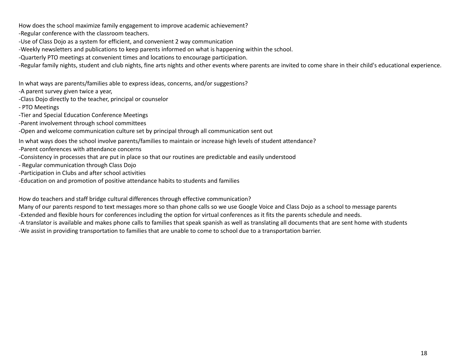How does the school maximize family engagement to improve academic achievement?

-Regular conference with the classroom teachers.

- -Use of Class Dojo as a system for efficient, and convenient 2 way communication
- -Weekly newsletters and publications to keep parents informed on what is happening within the school.
- -Quarterly PTO meetings at convenient times and locations to encourage participation.
- -Regular family nights, student and club nights, fine arts nights and other events where parents are invited to come share in their child's educational experience.

In what ways are parents/families able to express ideas, concerns, and/or suggestions?

-A parent survey given twice a year,

- -Class Dojo directly to the teacher, principal or counselor
- PTO Meetings
- -Tier and Special Education Conference Meetings
- -Parent involvement through school committees

-Open and welcome communication culture set by principal through all communication sent out

In what ways does the school involve parents/families to maintain or increase high levels of student attendance?

- -Parent conferences with attendance concerns
- -Consistency in processes that are put in place so that our routines are predictable and easily understood
- Regular communication through Class Dojo
- -Participation in Clubs and after school activities
- -Education on and promotion of positive attendance habits to students and families

How do teachers and staff bridge cultural differences through effective communication?

Many of our parents respond to text messages more so than phone calls so we use Google Voice and Class Dojo as a school to message parents

-Extended and flexible hours for conferences including the option for virtual conferences as it fits the parents schedule and needs.

-A translator is available and makes phone calls to families that speak spanish as well as translating all documents that are sent home with students -We assist in providing transportation to families that are unable to come to school due to a transportation barrier.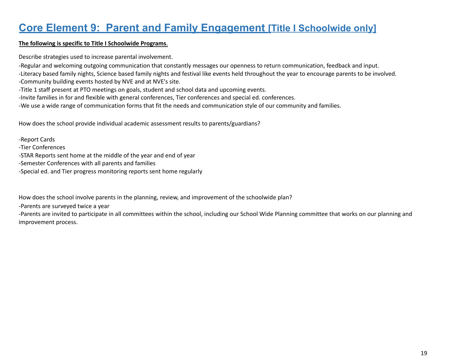### **Core Element 9: Parent and Family Engagement [Title I Schoolwide only]**

#### **The following is specific to Title I Schoolwide Programs**.

Describe strategies used to increase parental involvement.

-Regular and welcoming outgoing communication that constantly messages our openness to return communication, feedback and input.

-Literacy based family nights, Science based family nights and festival like events held throughout the year to encourage parents to be involved. -Community building events hosted by NVE and at NVE's site.

-Title 1 staff present at PTO meetings on goals, student and school data and upcoming events.

-Invite families in for and flexible with general conferences, Tier conferences and special ed. conferences.

-We use a wide range of communication forms that fit the needs and communication style of our community and families.

How does the school provide individual academic assessment results to parents/guardians?

-Report Cards

-Tier Conferences

-STAR Reports sent home at the middle of the year and end of year

-Semester Conferences with all parents and families

-Special ed. and Tier progress monitoring reports sent home regularly

How does the school involve parents in the planning, review, and improvement of the schoolwide plan?

-Parents are surveyed twice a year

-Parents are invited to participate in all committees within the school, including our School Wide Planning committee that works on our planning and improvement process.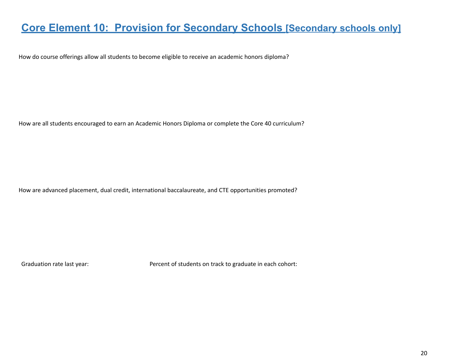### **Core Element 10: Provision for Secondary Schools [Secondary schools only]**

How do course offerings allow all students to become eligible to receive an academic honors diploma?

How are all students encouraged to earn an Academic Honors Diploma or complete the Core 40 curriculum?

How are advanced placement, dual credit, international baccalaureate, and CTE opportunities promoted?

Graduation rate last year: Percent of students on track to graduate in each cohort: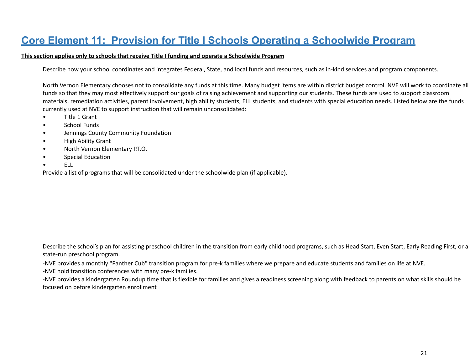## **Core Element 11: Provision for Title I Schools Operating a Schoolwide Program**

#### **This section applies only to schools that receive Title I funding and operate a Schoolwide Program**

Describe how your school coordinates and integrates Federal, State, and local funds and resources, such as in-kind services and program components.

North Vernon Elementary chooses not to consolidate any funds at this time. Many budget items are within district budget control. NVE will work to coordinate all funds so that they may most effectively support our goals of raising achievement and supporting our students. These funds are used to support classroom materials, remediation activities, parent involvement, high ability students, ELL students, and students with special education needs. Listed below are the funds currently used at NVE to support instruction that will remain unconsolidated:

- Title 1 Grant
- School Funds
- Jennings County Community Foundation
- High Ability Grant
- North Vernon Elementary P.T.O.
- Special Education
- ELL

Provide a list of programs that will be consolidated under the schoolwide plan (if applicable).

Describe the school's plan for assisting preschool children in the transition from early childhood programs, such as Head Start, Even Start, Early Reading First, or a state-run preschool program.

-NVE provides a monthly "Panther Cub" transition program for pre-k families where we prepare and educate students and families on life at NVE.

-NVE hold transition conferences with many pre-k families.

-NVE provides a kindergarten Roundup time that is flexible for families and gives a readiness screening along with feedback to parents on what skills should be focused on before kindergarten enrollment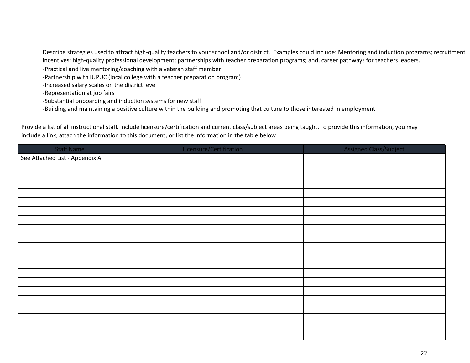Describe strategies used to attract high-quality teachers to your school and/or district. Examples could include: Mentoring and induction programs; recruitment incentives; high-quality professional development; partnerships with teacher preparation programs; and, career pathways for teachers leaders.

-Practical and live mentoring/coaching with a veteran staff member

-Partnership with IUPUC (local college with a teacher preparation program)

-Increased salary scales on the district level

-Representation at job fairs

-Substantial onboarding and induction systems for new staff

-Building and maintaining a positive culture within the building and promoting that culture to those interested in employment

Provide a list of all instructional staff. Include licensure/certification and current class/subject areas being taught. To provide this information, you may include a link, attach the information to this document, or list the information in the table below

| <b>Staff Name</b>              | Licensure/Certification | <b>Assigned Class/Subject</b> |
|--------------------------------|-------------------------|-------------------------------|
| See Attached List - Appendix A |                         |                               |
|                                |                         |                               |
|                                |                         |                               |
|                                |                         |                               |
|                                |                         |                               |
|                                |                         |                               |
|                                |                         |                               |
|                                |                         |                               |
|                                |                         |                               |
|                                |                         |                               |
|                                |                         |                               |
|                                |                         |                               |
|                                |                         |                               |
|                                |                         |                               |
|                                |                         |                               |
|                                |                         |                               |
|                                |                         |                               |
|                                |                         |                               |
|                                |                         |                               |
|                                |                         |                               |
|                                |                         |                               |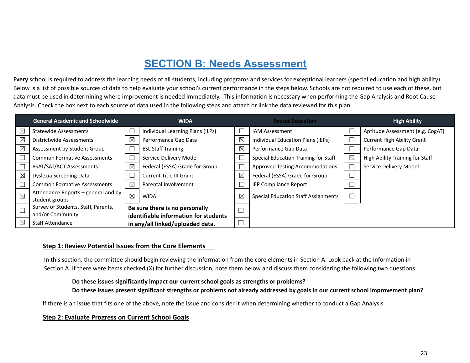## **SECTION B: Needs Assessment**

**Every** school is required to address the learning needs of all students, including programs and services for exceptional learners (special education and high ability). Below is a list of possible sources of data to help evaluate your school's current performance in the steps below. Schools are not required to use each of these, but data must be used in determining where improvement is needed immediately. This information is necessary when performing the Gap Analysis and Root Cause Analysis. Check the box next to each source of data used in the following steps and attach or link the data reviewed for this plan.

|             | <b>General Academic and Schoolwide</b>                  |             | <b>WIDA</b>                                                             |             | <b>Special Education</b>                   |             | <b>High Ability</b>               |
|-------------|---------------------------------------------------------|-------------|-------------------------------------------------------------------------|-------------|--------------------------------------------|-------------|-----------------------------------|
| $\boxtimes$ | <b>Statewide Assessments</b>                            |             | Individual Learning Plans (ILPs)                                        |             | <b>IAM Assessment</b>                      |             | Aptitude Assessment (e.g. CogAT)  |
| $\boxtimes$ | Districtwide Assessments                                | X           | Performance Gap Data                                                    | $\boxtimes$ | Individual Education Plans (IEPs)          |             | <b>Current High Ability Grant</b> |
| $\boxtimes$ | Assessment by Student Group                             |             | <b>ESL Staff Training</b>                                               | $\boxtimes$ | Performance Gap Data                       |             | Performance Gap Data              |
|             | <b>Common Formative Assessments</b>                     |             | Service Delivery Model                                                  |             | Special Education Training for Staff       | $\boxtimes$ | High Ability Training for Staff   |
|             | PSAT/SAT/ACT Assessments                                | ⊠           | Federal (ESSA) Grade for Group                                          |             | <b>Approved Testing Accommodations</b>     |             | Service Delivery Model            |
| $\boxtimes$ | Dyslexia Screening Data                                 |             | <b>Current Title III Grant</b>                                          | $\boxtimes$ | Federal (ESSA) Grade for Group             |             |                                   |
|             | <b>Common Formative Assessments</b>                     | ⊠           | Parental Involvement                                                    |             | IEP Compliance Report                      |             |                                   |
| $\boxtimes$ | Attendance Reports – general and by<br>student groups   | $\boxtimes$ | <b>WIDA</b>                                                             | $\boxtimes$ | <b>Special Education Staff Assignments</b> |             |                                   |
|             | Survey of Students, Staff, Parents,<br>and/or Community |             | Be sure there is no personally<br>identifiable information for students |             |                                            |             |                                   |
| $\boxtimes$ | <b>Staff Attendance</b>                                 |             | in any/all linked/uploaded data.                                        | $\Box$      |                                            |             |                                   |

#### **Step 1: Review Potential Issues from the Core Elements**

In this section, the committee should begin reviewing the information from the core elements in Section A. Look back at the information in Section A. If there were items checked (X) for further discussion, note them below and discuss them considering the following two questions:

#### **Do these issues significantly impact our current school goals as strengths or problems?**

Do these issues present significant strengths or problems not already addressed by goals in our current school improvement plan?

If there is an issue that fits one of the above, note the issue and consider it when determining whether to conduct a Gap Analysis.

#### **Step 2: Evaluate Progress on Current School Goals**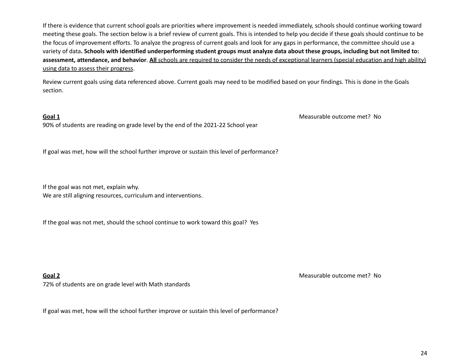If there is evidence that current school goals are priorities where improvement is needed immediately, schools should continue working toward meeting these goals. The section below is a brief review of current goals. This is intended to help you decide if these goals should continue to be the focus of improvement efforts. To analyze the progress of current goals and look for any gaps in performance, the committee should use a variety of data. Schools with identified underperforming student groups must analyze data about these groups, including but not limited to: **assessment, attendance, and behavior**. **All** schools are required to consider the needs of exceptional learners (special education and high ability) using data to assess their progress.

Review current goals using data referenced above. Current goals may need to be modified based on your findings. This is done in the Goals section.

90% of students are reading on grade level by the end of the 2021-22 School year

If goal was met, how will the school further improve or sustain this level of performance?

If the goal was not met, explain why.

We are still aligning resources, curriculum and interventions.

If the goal was not met, should the school continue to work toward this goal? Yes

72% of students are on grade level with Math standards

**Goal 2** Measurable outcome met? No

**Goal 1** Measurable outcome met? No

If goal was met, how will the school further improve or sustain this level of performance?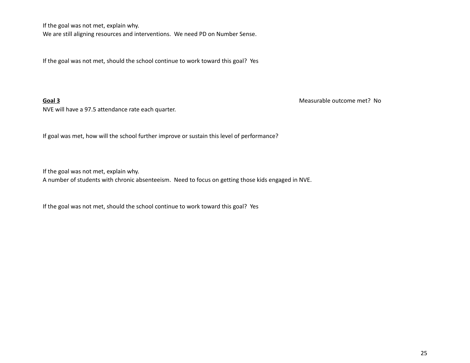If the goal was not met, explain why.

We are still aligning resources and interventions. We need PD on Number Sense.

If the goal was not met, should the school continue to work toward this goal? Yes

NVE will have a 97.5 attendance rate each quarter.

**Goal 3** Measurable outcome met? No

If goal was met, how will the school further improve or sustain this level of performance?

If the goal was not met, explain why.

A number of students with chronic absenteeism. Need to focus on getting those kids engaged in NVE.

If the goal was not met, should the school continue to work toward this goal? Yes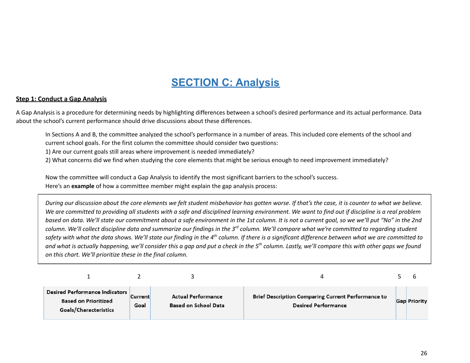# **SECTION C: Analysis**

#### **Step 1: Conduct a Gap Analysis**

A Gap Analysis is a procedure for determining needs by highlighting differences between a school's desired performance and its actual performance. Data about the school's current performance should drive discussions about these differences.

In Sections A and B, the committee analyzed the school's performance in a number of areas. This included core elements of the school and current school goals. For the first column the committee should consider two questions:

1) Are our current goals still areas where improvement is needed immediately?

2) What concerns did we find when studying the core elements that might be serious enough to need improvement immediately?

Now the committee will conduct a Gap Analysis to identify the most significant barriers to the school's success. Here's an **example** of how a committee member might explain the gap analysis process:

During our discussion about the core elements we felt student misbehavior has gotten worse. If that's the case, it is counter to what we believe. We are committed to providing all students with a safe and disciplined learning environment. We want to find out if discipline is a real problem based on data. We'll state our commitment about a safe environment in the 1st column. It is not a current goal, so we we'll put "No" in the 2nd column. We'll collect discipline data and summarize our findings in the 3<sup>rd</sup> column. We'll compare what we're committed to regarding student safety with what the data shows. We'll state our finding in the 4 $^{\rm th}$  column. If there is a significant difference between what we are committed to and what is actually happening, we'll consider this a gap and put a check in the 5 $^{th}$  column. Lastly, we'll compare this with other gaps we found *on this chart. We'll prioritize these in the final column.*

| <b>Desired Performance Indicators</b><br><b>Based on Prioritized</b><br>Goals/Characteristics | <b>Current</b><br>Goal | <b>Actual Performance</b><br><b>Based on School Data</b> | <b>Brief Description Comparing Current Performance to</b><br><b>Desired Performance</b> | <b>Gap Priority</b> |
|-----------------------------------------------------------------------------------------------|------------------------|----------------------------------------------------------|-----------------------------------------------------------------------------------------|---------------------|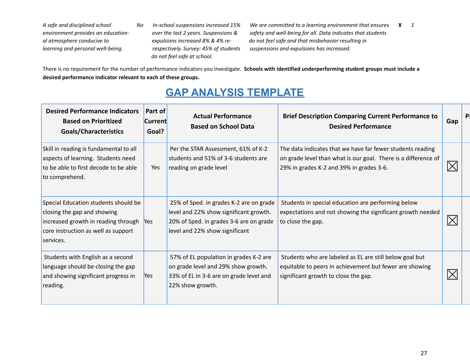*do not feel safe at school.*

A safe and disciplined school Mo In-school suspensions increased 15% We are committed to a learning environment that ensures X 1 environment provides an education-<br>
over the last 2 years. Suspensions & safety and well-being for all. Data indicates that students al atmosphere conducive to expulsions increased 8% & 4% re- do not feel safe and that misbehavior resulting in *learning and personal well-being. respectively. Survey: 45% of students suspensions and expulsions has increased.*

There is no requirement for the number of performance indicators you investigate. **Schools with identified underperforming student groups must include a desired performance indicator relevant to each of these groups.**

## **GAP ANALYSIS TEMPLATE**

| <b>Desired Performance Indicators</b><br><b>Based on Prioritized</b><br>Goals/Characteristics                                                                  | Part of<br><b>Current</b><br>Goal? | <b>Actual Performance</b><br><b>Based on School Data</b>                                                                                                       | <b>Brief Description Comparing Current Performance to</b><br><b>Desired Performance</b>                                                                                  | Gap | P <sub>1</sub> |
|----------------------------------------------------------------------------------------------------------------------------------------------------------------|------------------------------------|----------------------------------------------------------------------------------------------------------------------------------------------------------------|--------------------------------------------------------------------------------------------------------------------------------------------------------------------------|-----|----------------|
| Skill in reading is fundamental to all<br>aspects of learning. Students need<br>to be able to first decode to be able<br>to comprehend.                        | <b>Yes</b>                         | Per the STAR Assessment, 61% of K-2<br>students and 51% of 3-6 students are<br>reading on grade level                                                          | The data indicates that we have far fewer students reading<br>on grade level than what is our goal. There is a difference of<br>29% in grades K-2 and 39% in grades 3-6. |     |                |
| Special Education students should be<br>closing the gap and showing<br>increased growth in reading through<br>core instruction as well as support<br>services. | <b>Yes</b>                         | 25% of Sped. in grades K-2 are on grade<br>level and 22% show significant growth.<br>20% of Sped. in grades 3-6 are on grade<br>level and 22% show significant | Students in special education are performing below<br>expectations and not showing the significant growth needed<br>to close the gap.                                    |     |                |
| Students with English as a second<br>language should be closing the gap<br>and showing significant progress in<br>reading.                                     | <b>Yes</b>                         | 57% of EL population in grades K-2 are<br>on grade level and 29% show growth.<br>33% of EL in 3-6 are on grade level and<br>22% show growth.                   | Students who are labeled as EL are still below goal but<br>equitable to peers in achievement but fewer are showing<br>significant growth to close the gap.               |     |                |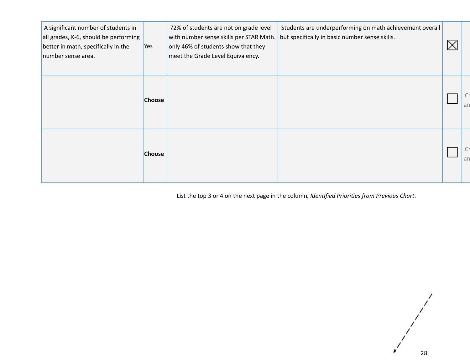| A significant number of students in<br>all grades, K-6, should be performing<br>better in math, specifically in the<br>number sense area. | Yes           | 72% of students are not on grade level<br>with number sense skills per STAR Math.<br>only 46% of students show that they<br>meet the Grade Level Equivalency. | Students are underperforming on math achievement overall<br>but specifically in basic number sense skills. |    |
|-------------------------------------------------------------------------------------------------------------------------------------------|---------------|---------------------------------------------------------------------------------------------------------------------------------------------------------------|------------------------------------------------------------------------------------------------------------|----|
|                                                                                                                                           | <b>Choose</b> |                                                                                                                                                               |                                                                                                            | an |
|                                                                                                                                           | <b>Choose</b> |                                                                                                                                                               |                                                                                                            | an |

List the top 3 or 4 on the next page in the column*, Identified Priorities from Previous Chart*.

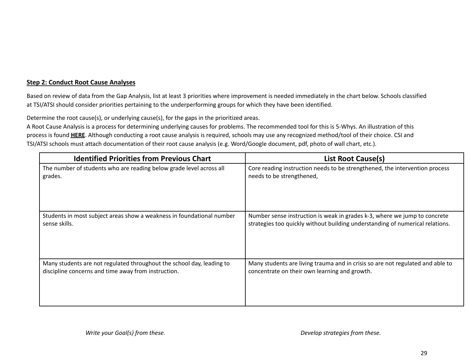#### **Step 2: Conduct Root Cause Analyses**

Based on review of data from the Gap Analysis, list at least 3 priorities where improvement is needed immediately in the chart below. Schools classified at TSI/ATSI should consider priorities pertaining to the underperforming groups for which they have been identified.

Determine the root cause(s), or underlying cause(s), for the gaps in the prioritized areas.

A Root Cause Analysis is a process for determining underlying causes for problems. The recommended tool for this is 5-Whys. An illustration of this process is found **HERE**. Although conducting a root cause analysis is required, schools may use any recognized method/tool of their choice. CSI and TSI/ATSI schools must attach documentation of their root cause analysis (e.g. Word/Google document, pdf, photo of wall chart, etc.).

| <b>Identified Priorities from Previous Chart</b>                      | <b>List Root Cause(s)</b>                                                      |
|-----------------------------------------------------------------------|--------------------------------------------------------------------------------|
| The number of students who are reading below grade level across all   | Core reading instruction needs to be strengthened, the intervention process    |
| grades.                                                               | needs to be strengthened,                                                      |
| Students in most subject areas show a weakness in foundational number | Number sense instruction is weak in grades k-3, where we jump to concrete      |
| sense skills.                                                         | strategies too quickly without building understanding of numerical relations.  |
| Many students are not regulated throughout the school day, leading to | Many students are living trauma and in crisis so are not regulated and able to |
| discipline concerns and time away from instruction.                   | concentrate on their own learning and growth.                                  |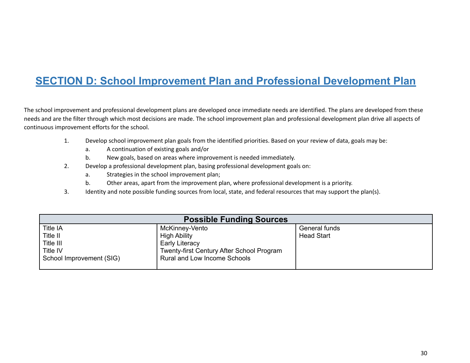# **SECTION D: School Improvement Plan and Professional Development Plan**

The school improvement and professional development plans are developed once immediate needs are identified. The plans are developed from these needs and are the filter through which most decisions are made. The school improvement plan and professional development plan drive all aspects of continuous improvement efforts for the school.

- 1. Develop school improvement plan goals from the identified priorities. Based on your review of data, goals may be:
	- a. A continuation of existing goals and/or
	- b. New goals, based on areas where improvement is needed immediately.
- 2. Develop a professional development plan, basing professional development goals on:
	- a. Strategies in the school improvement plan;
	- b. Other areas, apart from the improvement plan, where professional development is a priority.
- 3. Identity and note possible funding sources from local, state, and federal resources that may support the plan(s).

| <b>Possible Funding Sources</b> |                                                  |                   |  |  |  |  |
|---------------------------------|--------------------------------------------------|-------------------|--|--|--|--|
| Title IA                        | McKinney-Vento                                   | General funds     |  |  |  |  |
| Title II                        | <b>High Ability</b>                              | <b>Head Start</b> |  |  |  |  |
| Title III                       | <b>Early Literacy</b>                            |                   |  |  |  |  |
| Title IV                        | <b>Twenty-first Century After School Program</b> |                   |  |  |  |  |
| School Improvement (SIG)        | <b>Rural and Low Income Schools</b>              |                   |  |  |  |  |
|                                 |                                                  |                   |  |  |  |  |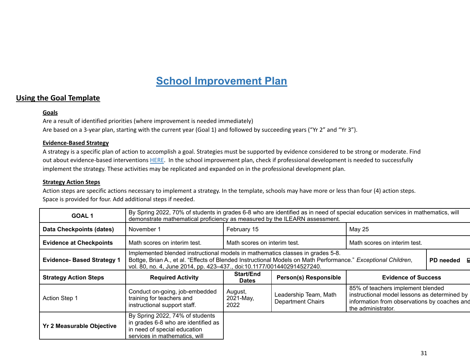## **School Improvement Plan**

#### **Using the Goal Template**

#### **Goals**

Are a result of identified priorities (where improvement is needed immediately) Are based on a 3-year plan, starting with the current year (Goal 1) and followed by succeeding years ("Yr 2" and "Yr 3").

#### **Evidence-Based Strategy**

A strategy is a specific plan of action to accomplish a goal. Strategies must be supported by evidence considered to be strong or moderate. Find out about evidence-based interventions HERE. In the school improvement plan, check if professional development is needed to successfully implement the strategy. These activities may be replicated and expanded on in the professional development plan.

#### **Strategy Action Steps**

Action steps are specific actions necessary to implement a strategy. In the template, schools may have more or less than four (4) action steps. Space is provided for four. Add additional steps if needed.

| <b>GOAL1</b>                     | By Spring 2022, 70% of students in grades 6-8 who are identified as in need of special education services in mathematics, will<br>demonstrate mathematical proficiency as measured by the ILEARN assessment.                                                                           |                                                              |                                                   |                                                                                                                                                         |  |  |  |  |  |
|----------------------------------|----------------------------------------------------------------------------------------------------------------------------------------------------------------------------------------------------------------------------------------------------------------------------------------|--------------------------------------------------------------|---------------------------------------------------|---------------------------------------------------------------------------------------------------------------------------------------------------------|--|--|--|--|--|
| Data Checkpoints (dates)         | February 15<br><b>May 25</b><br>November 1                                                                                                                                                                                                                                             |                                                              |                                                   |                                                                                                                                                         |  |  |  |  |  |
| <b>Evidence at Checkpoints</b>   | Math scores on interim test.                                                                                                                                                                                                                                                           | Math scores on interim test.<br>Math scores on interim test. |                                                   |                                                                                                                                                         |  |  |  |  |  |
| <b>Evidence-Based Strategy 1</b> | Implemented blended instructional models in mathematics classes in grades 5-8.<br>Bottge, Brian A., et al. "Effects of Blended Instructional Models on Math Performance." Exceptional Children,<br>PD needed<br>vol. 80, no. 4, June 2014, pp. 423-437., doi:10.1177/0014402914527240. |                                                              |                                                   |                                                                                                                                                         |  |  |  |  |  |
| <b>Strategy Action Steps</b>     | <b>Required Activity</b>                                                                                                                                                                                                                                                               | Start/End<br><b>Dates</b>                                    | <b>Person(s) Responsible</b>                      | <b>Evidence of Success</b>                                                                                                                              |  |  |  |  |  |
| <b>Action Step 1</b>             | Conduct on-going, job-embedded<br>training for teachers and<br>instructional support staff.                                                                                                                                                                                            | August,<br>2021-May,<br>2022                                 | Leadership Team, Math<br><b>Department Chairs</b> | 85% of teachers implement blended<br>instructional model lessons as determined by<br>information from observations by coaches and<br>the administrator. |  |  |  |  |  |
| <b>Yr 2 Measurable Objective</b> | By Spring 2022, 74% of students<br>in grades 6-8 who are identified as<br>in need of special education<br>services in mathematics, will                                                                                                                                                |                                                              |                                                   |                                                                                                                                                         |  |  |  |  |  |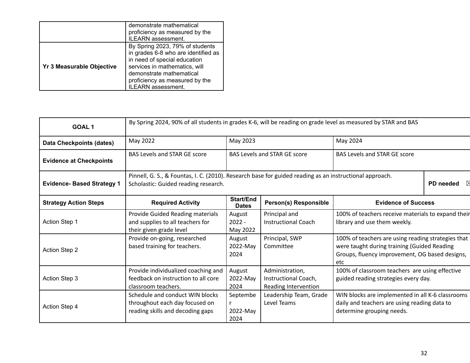|                                  | demonstrate mathematical<br>proficiency as measured by the<br>ILEARN assessment.                                                                                                                                                   |
|----------------------------------|------------------------------------------------------------------------------------------------------------------------------------------------------------------------------------------------------------------------------------|
| <b>Yr 3 Measurable Objective</b> | By Spring 2023, 79% of students<br>in grades 6-8 who are identified as<br>in need of special education<br>services in mathematics, will<br>demonstrate mathematical<br>proficiency as measured by the<br><b>ILEARN</b> assessment. |

| <b>GOAL1</b>                      | By Spring 2024, 90% of all students in grades K-6, will be reading on grade level as measured by STAR and BAS                                                |                                     |                                                                 |                                                                                                                                                            |  |  |  |
|-----------------------------------|--------------------------------------------------------------------------------------------------------------------------------------------------------------|-------------------------------------|-----------------------------------------------------------------|------------------------------------------------------------------------------------------------------------------------------------------------------------|--|--|--|
| <b>Data Checkpoints (dates)</b>   | May 2022                                                                                                                                                     |                                     |                                                                 |                                                                                                                                                            |  |  |  |
| <b>Evidence at Checkpoints</b>    | <b>BAS Levels and STAR GE score</b>                                                                                                                          | <b>BAS Levels and STAR GE score</b> |                                                                 |                                                                                                                                                            |  |  |  |
| <b>Evidence- Based Strategy 1</b> | Pinnell, G. S., & Fountas, I. C. (2010). Research base for guided reading as an instructional approach.<br>PD needed<br>Scholastic: Guided reading research. |                                     |                                                                 |                                                                                                                                                            |  |  |  |
| <b>Strategy Action Steps</b>      | <b>Required Activity</b>                                                                                                                                     | <b>Start/End</b><br><b>Dates</b>    | <b>Person(s) Responsible</b>                                    | <b>Evidence of Success</b>                                                                                                                                 |  |  |  |
| Action Step 1                     | Provide Guided Reading materials<br>and supplies to all teachers for<br>their given grade level                                                              | August<br>$2022 -$<br>May 2022      | Principal and<br><b>Instructional Coach</b>                     | 100% of teachers receive materials to expand their<br>library and use them weekly.                                                                         |  |  |  |
| <b>Action Step 2</b>              | Provide on-going, researched<br>based training for teachers.                                                                                                 | August<br>2022-May<br>2024          | Principal, SWP<br>Committee                                     | 100% of teachers are using reading strategies that<br>were taught during training (Guided Reading<br>Groups, fluency improvement, OG based designs,<br>etc |  |  |  |
| Action Step 3                     | Provide individualized coaching and<br>feedback on instruction to all core<br>classroom teachers.                                                            | August<br>2022-May<br>2024          | Administration,<br>Instructional Coach,<br>Reading Intervention | 100% of classroom teachers are using effective<br>guided reading strategies every day.                                                                     |  |  |  |
| Action Step 4                     | Schedule and conduct WIN blocks<br>throughout each day focused on<br>reading skills and decoding gaps                                                        | Septembe<br>2022-May<br>2024        | Leadership Team, Grade<br>Level Teams                           | WIN blocks are implemented in all K-6 classrooms<br>daily and teachers are using reading data to<br>determine grouping needs.                              |  |  |  |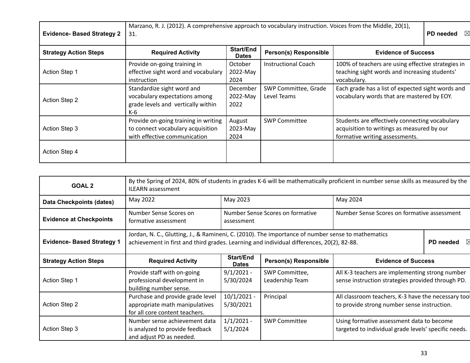| <b>Evidence-Based Strategy 2</b> | Marzano, R. J. (2012). A comprehensive approach to vocabulary instruction. Voices from the Middle, 20(1),<br>31.    |                              |                                     |                                                                                                                                |  |
|----------------------------------|---------------------------------------------------------------------------------------------------------------------|------------------------------|-------------------------------------|--------------------------------------------------------------------------------------------------------------------------------|--|
| <b>Strategy Action Steps</b>     | Start/End<br><b>Person(s) Responsible</b><br><b>Required Activity</b><br><b>Evidence of Success</b><br><b>Dates</b> |                              |                                     |                                                                                                                                |  |
| <b>Action Step 1</b>             | Provide on-going training in<br>effective sight word and vocabulary<br>instruction                                  | October<br>2022-May<br>2024  | <b>Instructional Coach</b>          | 100% of teachers are using effective strategies in<br>teaching sight words and increasing students'<br>vocabulary.             |  |
| <b>Action Step 2</b>             | Standardize sight word and<br>vocabulary expectations among<br>grade levels and vertically within<br>K-6            | December<br>2022-May<br>2022 | SWP Committee, Grade<br>Level Teams | Each grade has a list of expected sight words and<br>vocabulary words that are mastered by EOY.                                |  |
| <b>Action Step 3</b>             | Provide on-going training in writing<br>to connect vocabulary acquisition<br>with effective communication           | August<br>2023-May<br>2024   | <b>SWP Committee</b>                | Students are effectively connecting vocabulary<br>acquisition to writings as measured by our<br>formative writing assessments. |  |
| <b>Action Step 4</b>             |                                                                                                                     |                              |                                     |                                                                                                                                |  |

| <b>GOAL 2</b>                     | By the Spring of 2024, 80% of students in grades K-6 will be mathematically proficient in number sense skills as measured by the<br><b>ILEARN assessment</b>                                                |                                                |                                   |                                                                                                      |  |                                             |  |
|-----------------------------------|-------------------------------------------------------------------------------------------------------------------------------------------------------------------------------------------------------------|------------------------------------------------|-----------------------------------|------------------------------------------------------------------------------------------------------|--|---------------------------------------------|--|
| <b>Data Checkpoints (dates)</b>   | May 2023<br>May 2024<br>May 2022                                                                                                                                                                            |                                                |                                   |                                                                                                      |  |                                             |  |
| <b>Evidence at Checkpoints</b>    | Number Sense Scores on<br>formative assessment                                                                                                                                                              | Number Sense Scores on formative<br>assessment |                                   |                                                                                                      |  | Number Sense Scores on formative assessment |  |
| <b>Evidence- Based Strategy 1</b> | Jordan, N. C., Glutting, J., & Ramineni, C. (2010). The importance of number sense to mathematics<br>achievement in first and third grades. Learning and individual differences, 20(2), 82-88.<br>PD needed |                                                |                                   |                                                                                                      |  |                                             |  |
| <b>Strategy Action Steps</b>      | <b>Required Activity</b>                                                                                                                                                                                    | <b>Start/End</b><br><b>Dates</b>               | <b>Person(s) Responsible</b>      | <b>Evidence of Success</b>                                                                           |  |                                             |  |
| <b>Action Step 1</b>              | Provide staff with on-going<br>professional development in<br>building number sense.                                                                                                                        | $9/1/2021 -$<br>5/30/2024                      | SWP Committee,<br>Leadership Team | All K-3 teachers are implementing strong number<br>sense instruction strategies provided through PD. |  |                                             |  |
| <b>Action Step 2</b>              | Purchase and provide grade level<br>appropriate math manipulatives<br>for all core content teachers.                                                                                                        | $10/1/2021$ -<br>5/30/2021                     | Principal                         | All classroom teachers, K-3 have the necessary tool<br>to provide strong number sense instruction.   |  |                                             |  |
| Action Step 3                     | Number sense achievement data<br>is analyzed to provide feedback<br>and adjust PD as needed.                                                                                                                | $1/1/2021 -$<br>5/1/2024                       | <b>SWP Committee</b>              | Using formative assessment data to become<br>targeted to individual grade levels' specific needs.    |  |                                             |  |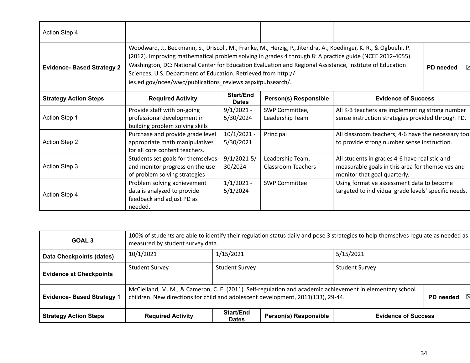| Action Step 4                     |                                                                                                                                                                                                                                                                                                                                                                                                                                                                        |                                  |                                               |                                                                                                                                   |           |
|-----------------------------------|------------------------------------------------------------------------------------------------------------------------------------------------------------------------------------------------------------------------------------------------------------------------------------------------------------------------------------------------------------------------------------------------------------------------------------------------------------------------|----------------------------------|-----------------------------------------------|-----------------------------------------------------------------------------------------------------------------------------------|-----------|
| <b>Evidence- Based Strategy 2</b> | Woodward, J., Beckmann, S., Driscoll, M., Franke, M., Herzig, P., Jitendra, A., Koedinger, K. R., & Ogbuehi, P.<br>(2012). Improving mathematical problem solving in grades 4 through 8: A practice guide (NCEE 2012-4055).<br>Washington, DC: National Center for Education Evaluation and Regional Assistance, Institute of Education<br>Sciences, U.S. Department of Education. Retrieved from http://<br>ies.ed.gov/ncee/wwc/publications_reviews.aspx#pubsearch/. |                                  |                                               |                                                                                                                                   | PD needed |
| <b>Strategy Action Steps</b>      | <b>Required Activity</b>                                                                                                                                                                                                                                                                                                                                                                                                                                               | <b>Start/End</b><br><b>Dates</b> | Person(s) Responsible                         | <b>Evidence of Success</b>                                                                                                        |           |
| Action Step 1                     | Provide staff with on-going<br>professional development in<br>building problem solving skills                                                                                                                                                                                                                                                                                                                                                                          | $9/1/2021 -$<br>5/30/2024        | SWP Committee,<br>Leadership Team             | All K-3 teachers are implementing strong number<br>sense instruction strategies provided through PD.                              |           |
| <b>Action Step 2</b>              | Purchase and provide grade level<br>appropriate math manipulatives<br>for all core content teachers.                                                                                                                                                                                                                                                                                                                                                                   | $10/1/2021 -$<br>5/30/2021       | Principal                                     | All classroom teachers, 4-6 have the necessary tool<br>to provide strong number sense instruction.                                |           |
| Action Step 3                     | Students set goals for themselves<br>and monitor progress on the use<br>of problem solving strategies                                                                                                                                                                                                                                                                                                                                                                  | $9/1/2021-5/$<br>30/2024         | Leadership Team,<br><b>Classroom Teachers</b> | All students in grades 4-6 have realistic and<br>measurable goals in this area for themselves and<br>monitor that goal quarterly. |           |
| Action Step 4                     | Problem solving achievement<br>data is analyzed to provide<br>feedback and adjust PD as<br>needed.                                                                                                                                                                                                                                                                                                                                                                     | $1/1/2021 -$<br>5/1/2024         | <b>SWP Committee</b>                          | Using formative assessment data to become<br>targeted to individual grade levels' specific needs.                                 |           |

| GOAL <sub>3</sub>                 | 100% of students are able to identify their regulation status daily and pose 3 strategies to help themselves regulate as needed as<br>measured by student survey data.                                     |  |  |  |  |
|-----------------------------------|------------------------------------------------------------------------------------------------------------------------------------------------------------------------------------------------------------|--|--|--|--|
| <b>Data Checkpoints (dates)</b>   | 1/15/2021<br>5/15/2021<br>10/1/2021                                                                                                                                                                        |  |  |  |  |
| <b>Evidence at Checkpoints</b>    | <b>Student Survey</b><br><b>Student Survey</b><br><b>Student Survey</b>                                                                                                                                    |  |  |  |  |
| <b>Evidence- Based Strategy 1</b> | McClelland, M. M., & Cameron, C. E. (2011). Self-regulation and academic achievement in elementary school<br>children. New directions for child and adolescent development, 2011(133), 29-44.<br>PD needed |  |  |  |  |
| <b>Strategy Action Steps</b>      | Start/End<br><b>Person(s) Responsible</b><br><b>Required Activity</b><br><b>Evidence of Success</b><br><b>Dates</b>                                                                                        |  |  |  |  |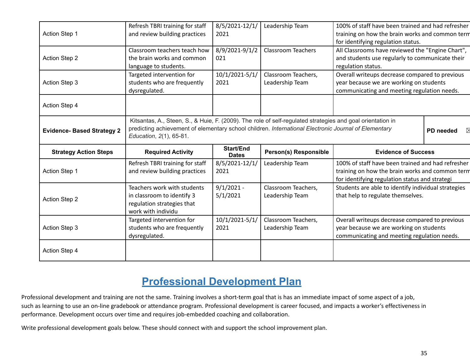| Action Step 1                     | Refresh TBRI training for staff<br>and review building practices                                                                                                                                                                              | 8/5/2021-12/1/<br>2021           | Leadership Team                        | 100% of staff have been trained and had refresher<br>training on how the brain works and common term<br>for identifying regulation status.             |  |
|-----------------------------------|-----------------------------------------------------------------------------------------------------------------------------------------------------------------------------------------------------------------------------------------------|----------------------------------|----------------------------------------|--------------------------------------------------------------------------------------------------------------------------------------------------------|--|
| <b>Action Step 2</b>              | Classroom teachers teach how<br>the brain works and common<br>language to students.                                                                                                                                                           | 8/9/2021-9/1/2<br>021            | <b>Classroom Teachers</b>              | All Classrooms have reviewed the "Engine Chart",<br>and students use regularly to communicate their<br>regulation status.                              |  |
| <b>Action Step 3</b>              | Targeted intervention for<br>students who are frequently<br>dysregulated.                                                                                                                                                                     | 10/1/2021-5/1/<br>2021           | Classroom Teachers,<br>Leadership Team | Overall writeups decrease compared to previous<br>year because we are working on students<br>communicating and meeting regulation needs.               |  |
| Action Step 4                     |                                                                                                                                                                                                                                               |                                  |                                        |                                                                                                                                                        |  |
| <b>Evidence- Based Strategy 2</b> | Kitsantas, A., Steen, S., & Huie, F. (2009). The role of self-regulated strategies and goal orientation in<br>predicting achievement of elementary school children. International Electronic Journal of Elementary<br>Education, 2(1), 65-81. |                                  |                                        | PD needed                                                                                                                                              |  |
|                                   |                                                                                                                                                                                                                                               |                                  |                                        |                                                                                                                                                        |  |
| <b>Strategy Action Steps</b>      | <b>Required Activity</b>                                                                                                                                                                                                                      | <b>Start/End</b><br><b>Dates</b> | Person(s) Responsible                  | <b>Evidence of Success</b>                                                                                                                             |  |
| Action Step 1                     | Refresh TBRI training for staff<br>and review building practices                                                                                                                                                                              | 8/5/2021-12/1/<br>2021           | Leadership Team                        | 100% of staff have been trained and had refresher<br>training on how the brain works and common term<br>for identifying regulation status and strategi |  |
| <b>Action Step 2</b>              | Teachers work with students<br>in classroom to identify 3<br>regulation strategies that<br>work with individu                                                                                                                                 | $9/1/2021 -$<br>5/1/2021         | Classroom Teachers,<br>Leadership Team | Students are able to identify individual strategies<br>that help to regulate themselves.                                                               |  |
| Action Step 3                     | Targeted intervention for<br>students who are frequently<br>dysregulated.                                                                                                                                                                     | 10/1/2021-5/1/<br>2021           | Classroom Teachers,<br>Leadership Team | Overall writeups decrease compared to previous<br>year because we are working on students<br>communicating and meeting regulation needs.               |  |

## **Professional Development Plan**

Professional development and training are not the same. Training involves a short-term goal that is has an immediate impact of some aspect of a job, such as learning to use an on-line gradebook or attendance program. Professional development is career focused, and impacts a worker's effectiveness in performance. Development occurs over time and requires job-embedded coaching and collaboration.

Write professional development goals below. These should connect with and support the school improvement plan.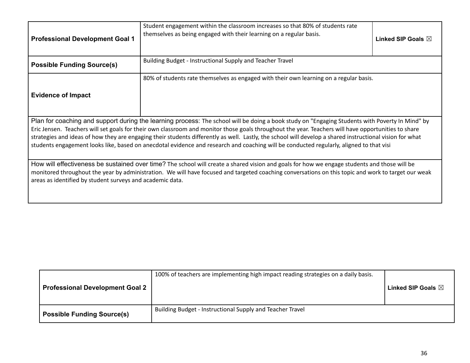| <b>Professional Development Goal 1</b>                                                                                                                                                                                                                                                                                                                                                                                                                                                                                                                                                                        | Student engagement within the classroom increases so that 80% of students rate<br>themselves as being engaged with their learning on a regular basis. | Linked SIP Goals $\boxtimes$ |  |  |  |
|---------------------------------------------------------------------------------------------------------------------------------------------------------------------------------------------------------------------------------------------------------------------------------------------------------------------------------------------------------------------------------------------------------------------------------------------------------------------------------------------------------------------------------------------------------------------------------------------------------------|-------------------------------------------------------------------------------------------------------------------------------------------------------|------------------------------|--|--|--|
| <b>Possible Funding Source(s)</b>                                                                                                                                                                                                                                                                                                                                                                                                                                                                                                                                                                             | Building Budget - Instructional Supply and Teacher Travel                                                                                             |                              |  |  |  |
| 80% of students rate themselves as engaged with their own learning on a regular basis.<br><b>Evidence of Impact</b>                                                                                                                                                                                                                                                                                                                                                                                                                                                                                           |                                                                                                                                                       |                              |  |  |  |
| Plan for coaching and support during the learning process: The school will be doing a book study on "Engaging Students with Poverty In Mind" by<br>Eric Jensen. Teachers will set goals for their own classroom and monitor those goals throughout the year. Teachers will have opportunities to share<br>strategies and ideas of how they are engaging their students differently as well. Lastly, the school will develop a shared instructional vision for what<br>students engagement looks like, based on anecdotal evidence and research and coaching will be conducted regularly, aligned to that visi |                                                                                                                                                       |                              |  |  |  |
| How will effectiveness be sustained over time? The school will create a shared vision and goals for how we engage students and those will be<br>monitored throughout the year by administration. We will have focused and targeted coaching conversations on this topic and work to target our weak<br>areas as identified by student surveys and academic data.                                                                                                                                                                                                                                              |                                                                                                                                                       |                              |  |  |  |

| <b>Professional Development Goal 2</b> | 100% of teachers are implementing high impact reading strategies on a daily basis. | Linked SIP Goals $\boxtimes$ |
|----------------------------------------|------------------------------------------------------------------------------------|------------------------------|
| <b>Possible Funding Source(s)</b>      | Building Budget - Instructional Supply and Teacher Travel                          |                              |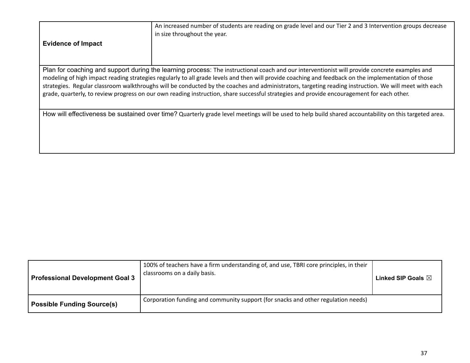| <b>Evidence of Impact</b>                                                                                                                                                                                                                                                                                                                                                                                                                                                                                                                                                                                   | An increased number of students are reading on grade level and our Tier 2 and 3 Intervention groups decrease<br>in size throughout the year.          |  |  |  |  |
|-------------------------------------------------------------------------------------------------------------------------------------------------------------------------------------------------------------------------------------------------------------------------------------------------------------------------------------------------------------------------------------------------------------------------------------------------------------------------------------------------------------------------------------------------------------------------------------------------------------|-------------------------------------------------------------------------------------------------------------------------------------------------------|--|--|--|--|
| Plan for coaching and support during the learning process: The instructional coach and our interventionist will provide concrete examples and<br>modeling of high impact reading strategies regularly to all grade levels and then will provide coaching and feedback on the implementation of those<br>strategies. Regular classroom walkthroughs will be conducted by the coaches and administrators, targeting reading instruction. We will meet with each<br>grade, quarterly, to review progress on our own reading instruction, share successful strategies and provide encouragement for each other. |                                                                                                                                                       |  |  |  |  |
|                                                                                                                                                                                                                                                                                                                                                                                                                                                                                                                                                                                                             | How will effectiveness be sustained over time? Quarterly grade level meetings will be used to help build shared accountability on this targeted area. |  |  |  |  |

| <b>Professional Development Goal 3</b> | 100% of teachers have a firm understanding of, and use, TBRI core principles, in their<br>classrooms on a daily basis. | Linked SIP Goals $\boxtimes$ |
|----------------------------------------|------------------------------------------------------------------------------------------------------------------------|------------------------------|
| <b>Possible Funding Source(s)</b>      | Corporation funding and community support (for snacks and other regulation needs)                                      |                              |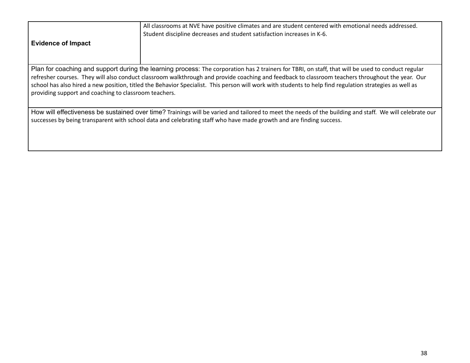| <b>Evidence of Impact</b>                                                                                                                                                                                                                                                                                                                                                                                                                                                                                                  | All classrooms at NVE have positive climates and are student centered with emotional needs addressed.<br>Student discipline decreases and student satisfaction increases in K-6. |  |  |  |  |
|----------------------------------------------------------------------------------------------------------------------------------------------------------------------------------------------------------------------------------------------------------------------------------------------------------------------------------------------------------------------------------------------------------------------------------------------------------------------------------------------------------------------------|----------------------------------------------------------------------------------------------------------------------------------------------------------------------------------|--|--|--|--|
| Plan for coaching and support during the learning process: The corporation has 2 trainers for TBRI, on staff, that will be used to conduct regular<br>refresher courses. They will also conduct classroom walkthrough and provide coaching and feedback to classroom teachers throughout the year. Our<br>school has also hired a new position, titled the Behavior Specialist. This person will work with students to help find regulation strategies as well as<br>providing support and coaching to classroom teachers. |                                                                                                                                                                                  |  |  |  |  |

How will effectiveness be sustained over time? Trainings will be varied and tailored to meet the needs of the building and staff. We will celebrate our successes by being transparent with school data and celebrating staff who have made growth and are finding success.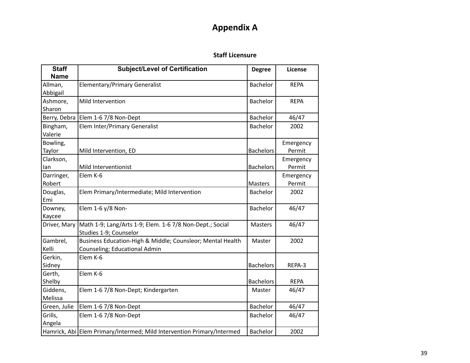### **Appendix A**

#### **Staff Licensure**

| <b>Staff</b><br><b>Name</b> | <b>Subject/Level of Certification</b>                                                       | <b>Degree</b>    | License             |
|-----------------------------|---------------------------------------------------------------------------------------------|------------------|---------------------|
| Allman,<br>Abbigail         | <b>Elementary/Primary Generalist</b>                                                        | Bachelor         | <b>REPA</b>         |
| Ashmore,<br>Sharon          | Mild Intervention                                                                           | <b>Bachelor</b>  | <b>REPA</b>         |
|                             | Berry, Debra Elem 1-6 7/8 Non-Dept                                                          | <b>Bachelor</b>  | 46/47               |
| Bingham,<br>Valerie         | Elem Inter/Primary Generalist                                                               | <b>Bachelor</b>  | 2002                |
| Bowling,<br>Taylor          | Mild Intervention, ED                                                                       | <b>Bachelors</b> | Emergency<br>Permit |
| Clarkson,<br>lan            | Mild Interventionist                                                                        | <b>Bachelors</b> | Emergency<br>Permit |
| Darringer,<br>Robert        | Elem K-6                                                                                    | Masters          | Emergency<br>Permit |
| Douglas,<br>Emi             | Elem Primary/Intermediate; Mild Intervention                                                | <b>Bachelor</b>  | 2002                |
| Downey,<br>Kaycee           | Elem 1-6 y/8 Non-                                                                           | <b>Bachelor</b>  | 46/47               |
| Driver, Mary                | Math 1-9; Lang/Arts 1-9; Elem. 1-6 7/8 Non-Dept.; Social<br>Studies 1-9; Counselor          | <b>Masters</b>   | 46/47               |
| Gambrel,<br>Kelli           | Business Education-High & Middle; Counsleor; Mental Health<br>Counseling; Educational Admin | Master           | 2002                |
| Gerkin,<br>Sidney           | Elem K-6                                                                                    | <b>Bachelors</b> | REPA-3              |
| Gerth,<br>Shelby            | Elem K-6                                                                                    | <b>Bachelors</b> | <b>REPA</b>         |
| Giddens,<br>Melissa         | Elem 1-6 7/8 Non-Dept; Kindergarten                                                         | Master           | 46/47               |
| Green, Julie                | Elem 1-6 7/8 Non-Dept                                                                       | <b>Bachelor</b>  | 46/47               |
| Grills,<br>Angela           | Elem 1-6 7/8 Non-Dept                                                                       | <b>Bachelor</b>  | 46/47               |
|                             | Hamrick, Abi Elem Primary/Intermed; Mild Intervention Primary/Intermed                      | <b>Bachelor</b>  | 2002                |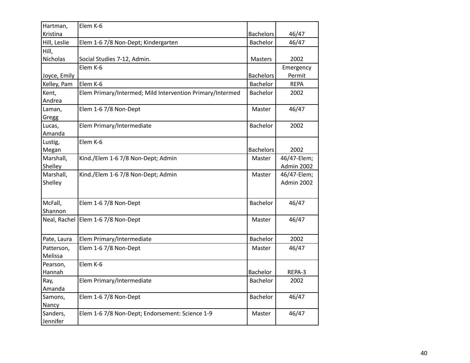| Hartman,     | Elem K-6                                                  |                  |             |
|--------------|-----------------------------------------------------------|------------------|-------------|
| Kristina     |                                                           | <b>Bachelors</b> | 46/47       |
| Hill, Leslie | Elem 1-6 7/8 Non-Dept; Kindergarten                       | Bachelor         | 46/47       |
| Hill,        |                                                           |                  |             |
| Nicholas     | Social Studies 7-12, Admin.                               | Masters          | 2002        |
|              | Elem K-6                                                  |                  | Emergency   |
| Joyce, Emily |                                                           | <b>Bachelors</b> | Permit      |
| Kelley, Pam  | Elem K-6                                                  | <b>Bachelor</b>  | <b>REPA</b> |
| Kent,        | Elem Primary/Intermed; Mild Intervention Primary/Intermed | Bachelor         | 2002        |
| Andrea       |                                                           |                  |             |
| Laman,       | Elem 1-6 7/8 Non-Dept                                     | Master           | 46/47       |
| Gregg        |                                                           |                  |             |
| Lucas,       | Elem Primary/Intermediate                                 | Bachelor         | 2002        |
| Amanda       |                                                           |                  |             |
| Lustig,      | Elem K-6                                                  |                  |             |
| Megan        |                                                           | <b>Bachelors</b> | 2002        |
| Marshall,    | Kind./Elem 1-6 7/8 Non-Dept; Admin                        | Master           | 46/47-Elem; |
| Shelley      |                                                           |                  | Admin 2002  |
| Marshall,    | Kind./Elem 1-6 7/8 Non-Dept; Admin                        | Master           | 46/47-Elem; |
| Shelley      |                                                           |                  | Admin 2002  |
|              |                                                           |                  |             |
| McFall,      | Elem 1-6 7/8 Non-Dept                                     | Bachelor         | 46/47       |
| Shannon      |                                                           |                  |             |
|              | Neal, Rachel Elem 1-6 7/8 Non-Dept                        | Master           | 46/47       |
|              |                                                           |                  |             |
| Pate, Laura  | Elem Primary/Intermediate                                 | Bachelor         | 2002        |
| Patterson,   | Elem 1-6 7/8 Non-Dept                                     | Master           | 46/47       |
| Melissa      |                                                           |                  |             |
| Pearson,     | Elem K-6                                                  |                  |             |
| Hannah       |                                                           | Bachelor         | REPA-3      |
| Ray,         | Elem Primary/Intermediate                                 | Bachelor         | 2002        |
| Amanda       |                                                           |                  |             |
| Samons,      | Elem 1-6 7/8 Non-Dept                                     | Bachelor         | 46/47       |
| Nancy        |                                                           |                  |             |
| Sanders,     | Elem 1-6 7/8 Non-Dept; Endorsement: Science 1-9           | Master           | 46/47       |
| Jennifer     |                                                           |                  |             |